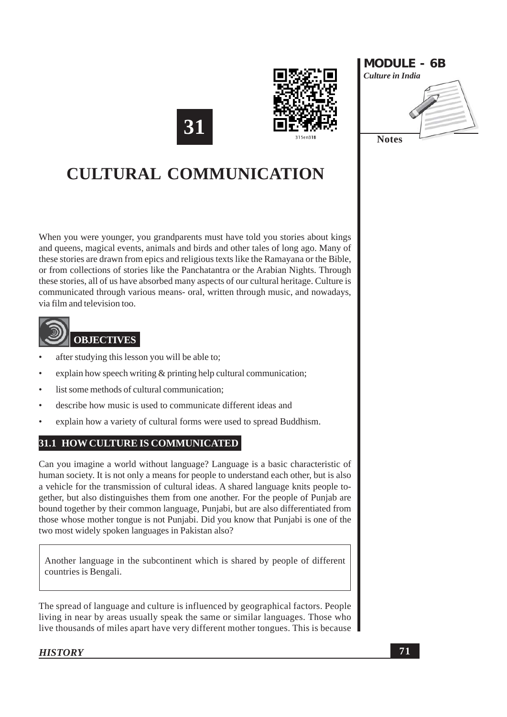





When you were younger, you grandparents must have told you stories about kings and queens, magical events, animals and birds and other tales of long ago. Many of these stories are drawn from epics and religious texts like the Ramayana or the Bible, or from collections of stories like the Panchatantra or the Arabian Nights. Through these stories, all of us have absorbed many aspects of our cultural heritage. Culture is communicated through various means- oral, written through music, and nowadays, via film and television too.



- after studying this lesson you will be able to;
- explain how speech writing  $\&$  printing help cultural communication;
- list some methods of cultural communication:
- describe how music is used to communicate different ideas and
- explain how a variety of cultural forms were used to spread Buddhism.

## 31.1 HOW CULTURE IS COMMUNICATED

Can you imagine a world without language? Language is a basic characteristic of human society. It is not only a means for people to understand each other, but is also a vehicle for the transmission of cultural ideas. A shared language knits people together, but also distinguishes them from one another. For the people of Punjab are bound together by their common language. Puniabi, but are also differentiated from those whose mother tongue is not Punjabi. Did you know that Punjabi is one of the two most widely spoken languages in Pakistan also?

Another language in the subcontinent which is shared by people of different countries is Bengali.

The spread of language and culture is influenced by geographical factors. People living in near by areas usually speak the same or similar languages. Those who live thousands of miles apart have very different mother tongues. This is because

**HISTORY**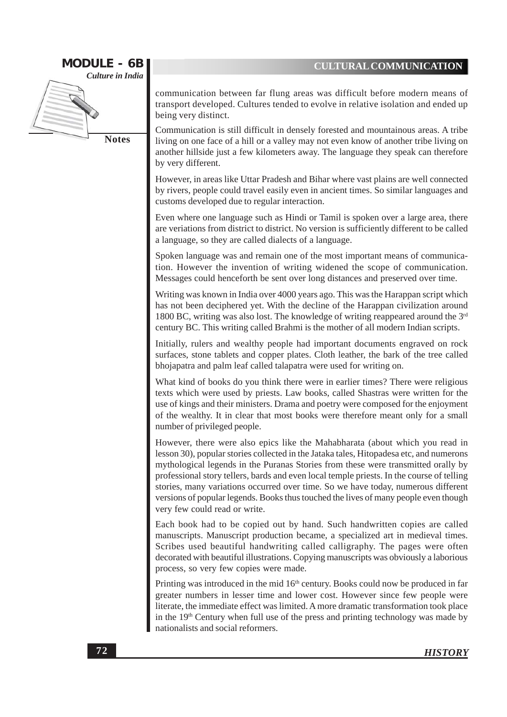

communication between far flung areas was difficult before modern means of transport developed. Cultures tended to evolve in relative isolation and ended up being very distinct.

Communication is still difficult in densely forested and mountainous areas. A tribe living on one face of a hill or a valley may not even know of another tribe living on another hillside just a few kilometers away. The language they speak can therefore by very different.

However, in areas like Uttar Pradesh and Bihar where vast plains are well connected by rivers, people could travel easily even in ancient times. So similar languages and customs developed due to regular interaction.

Even where one language such as Hindi or Tamil is spoken over a large area, there are veriations from district to district. No version is sufficiently different to be called a language, so they are called dialects of a language.

Spoken language was and remain one of the most important means of communication. However the invention of writing widened the scope of communication. Messages could henceforth be sent over long distances and preserved over time.

Writing was known in India over 4000 years ago. This was the Harappan script which has not been deciphered yet. With the decline of the Harappan civilization around 1800 BC, writing was also lost. The knowledge of writing reappeared around the  $3<sup>rd</sup>$ century BC. This writing called Brahmi is the mother of all modern Indian scripts.

Initially, rulers and wealthy people had important documents engraved on rock surfaces, stone tablets and copper plates. Cloth leather, the bark of the tree called bhojapatra and palm leaf called talapatra were used for writing on.

What kind of books do you think there were in earlier times? There were religious texts which were used by priests. Law books, called Shastras were written for the use of kings and their ministers. Drama and poetry were composed for the enjoyment of the wealthy. It in clear that most books were therefore meant only for a small number of privileged people.

However, there were also epics like the Mahabharata (about which you read in lesson 30), popular stories collected in the Jataka tales, Hitopadesa etc, and numerons mythological legends in the Puranas Stories from these were transmitted orally by professional story tellers, bards and even local temple priests. In the course of telling stories, many variations occurred over time. So we have today, numerous different versions of popular legends. Books thus touched the lives of many people even though very few could read or write.

Each book had to be copied out by hand. Such handwritten copies are called manuscripts. Manuscript production became, a specialized art in medieval times. Scribes used beautiful handwriting called calligraphy. The pages were often decorated with beautiful illustrations. Copying manuscripts was obviously a laborious process, so very few copies were made.

Printing was introduced in the mid 16<sup>th</sup> century. Books could now be produced in far greater numbers in lesser time and lower cost. However since few people were literate, the immediate effect was limited. A more dramatic transformation took place in the 19<sup>th</sup> Century when full use of the press and printing technology was made by nationalists and social reformers.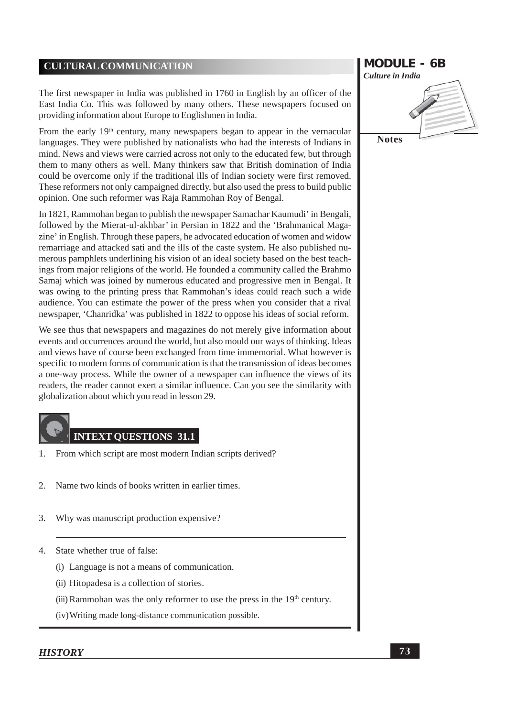The first newspaper in India was published in 1760 in English by an officer of the East India Co. This was followed by many others. These newspapers focused on providing information about Europe to Englishmen in India.

From the early 19<sup>th</sup> century, many newspapers began to appear in the vernacular languages. They were published by nationalists who had the interests of Indians in mind. News and views were carried across not only to the educated few, but through them to many others as well. Many thinkers saw that British domination of India could be overcome only if the traditional ills of Indian society were first removed. These reformers not only campaigned directly, but also used the press to build public opinion. One such reformer was Raja Rammohan Roy of Bengal.

In 1821, Rammohan began to publish the newspaper Samachar Kaumudi' in Bengali, followed by the Mierat-ul-akhbar' in Persian in 1822 and the 'Brahmanical Magazine' in English. Through these papers, he advocated education of women and widow remarriage and attacked sati and the ills of the caste system. He also published numerous pamphlets underlining his vision of an ideal society based on the best teachings from major religions of the world. He founded a community called the Brahmo Samaj which was joined by numerous educated and progressive men in Bengal. It was owing to the printing press that Rammohan's ideas could reach such a wide audience. You can estimate the power of the press when you consider that a rival newspaper, 'Chanridka' was published in 1822 to oppose his ideas of social reform.

We see thus that newspapers and magazines do not merely give information about events and occurrences around the world, but also mould our ways of thinking. Ideas and views have of course been exchanged from time immemorial. What however is specific to modern forms of communication is that the transmission of ideas becomes a one-way process. While the owner of a newspaper can influence the views of its readers, the reader cannot exert a similar influence. Can you see the similarity with globalization about which you read in lesson 29.

# **INTEXT OUESTIONS 31.1**

- From which script are most modern Indian scripts derived? 1.
- $2<sup>1</sup>$ Name two kinds of books written in earlier times.
- Why was manuscript production expensive? 3.
- State whether true of false:  $\mathcal{A}$ 
	- (i) Language is not a means of communication.
	- (ii) Hitopadesa is a collection of stories.
	- (iii) Rammohan was the only reformer to use the press in the  $19<sup>th</sup>$  century.
	- (iv) Writing made long-distance communication possible.



#### **HISTORY**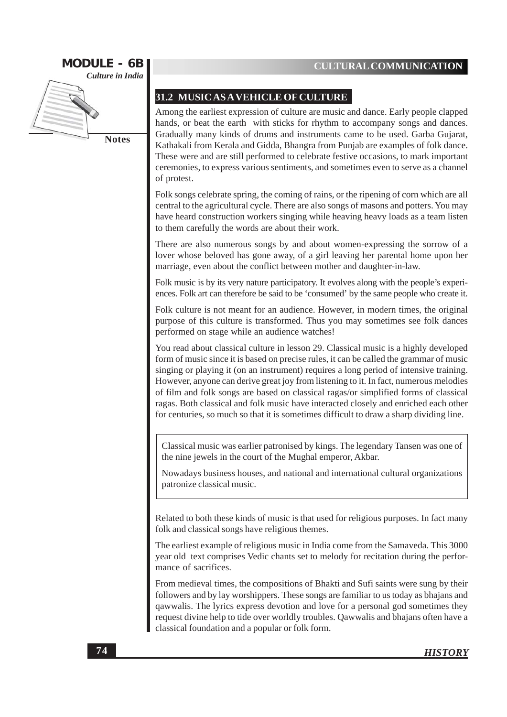

**Notes** 

#### 31.2 MUSIC AS A VEHICLE OF CULTURE

Among the earliest expression of culture are music and dance. Early people clapped hands, or beat the earth with sticks for rhythm to accompany songs and dances. Gradually many kinds of drums and instruments came to be used. Garba Gujarat, Kathakali from Kerala and Gidda, Bhangra from Puniab are examples of folk dance. These were and are still performed to celebrate festive occasions, to mark important ceremonies, to express various sentiments, and sometimes even to serve as a channel of protest.

Folk songs celebrate spring, the coming of rains, or the ripening of corn which are all central to the agricultural cycle. There are also songs of masons and potters. You may have heard construction workers singing while heaving heavy loads as a team listen to them carefully the words are about their work.

There are also numerous songs by and about women-expressing the sorrow of a lover whose beloved has gone away, of a girl leaving her parental home upon her marriage, even about the conflict between mother and daughter-in-law.

Folk music is by its very nature participatory. It evolves along with the people's experiences. Folk art can therefore be said to be 'consumed' by the same people who create it.

Folk culture is not meant for an audience. However, in modern times, the original purpose of this culture is transformed. Thus you may sometimes see folk dances performed on stage while an audience watches!

You read about classical culture in lesson 29. Classical music is a highly developed form of music since it is based on precise rules, it can be called the grammar of music singing or playing it (on an instrument) requires a long period of intensive training. However, anyone can derive great joy from listening to it. In fact, numerous melodies of film and folk songs are based on classical ragas/or simplified forms of classical ragas. Both classical and folk music have interacted closely and enriched each other for centuries, so much so that it is sometimes difficult to draw a sharp dividing line.

Classical music was earlier patronised by kings. The legendary Tansen was one of the nine jewels in the court of the Mughal emperor, Akbar.

Nowadays business houses, and national and international cultural organizations patronize classical music.

Related to both these kinds of music is that used for religious purposes. In fact many folk and classical songs have religious themes.

The earliest example of religious music in India come from the Samaveda. This 3000 year old text comprises Vedic chants set to melody for recitation during the performance of sacrifices.

From medieval times, the compositions of Bhakti and Sufi saints were sung by their followers and by lay worshippers. These songs are familiar to us today as bhajans and qawwalis. The lyrics express devotion and love for a personal god sometimes they request divine help to tide over worldly troubles. Qawwalis and bhajans often have a classical foundation and a popular or folk form.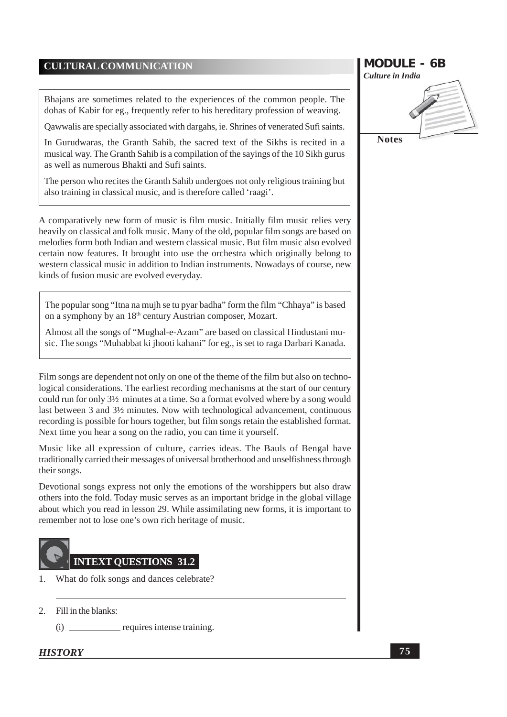Bhaians are sometimes related to the experiences of the common people. The dohas of Kabir for eg., frequently refer to his hereditary profession of weaving.

Oawwalis are specially associated with dargahs, ie. Shrines of venerated Sufi saints.

In Gurudwaras, the Granth Sahib, the sacred text of the Sikhs is recited in a musical way. The Granth Sahib is a compilation of the sayings of the 10 Sikh gurus as well as numerous Bhakti and Sufi saints.

The person who recites the Granth Sahib undergoes not only religious training but also training in classical music, and is therefore called 'raagi'.

A comparatively new form of music is film music. Initially film music relies very heavily on classical and folk music. Many of the old, popular film songs are based on melodies form both Indian and western classical music. But film music also evolved certain now features. It brought into use the orchestra which originally belong to western classical music in addition to Indian instruments. Nowadays of course, new kinds of fusion music are evolved everyday.

The popular song "Itna na mujh se tu pyar badha" form the film "Chhaya" is based on a symphony by an 18<sup>th</sup> century Austrian composer, Mozart.

Almost all the songs of "Mughal-e-Azam" are based on classical Hindustani music. The songs "Muhabbat ki jhooti kahani" for eg., is set to raga Darbari Kanada.

Film songs are dependent not only on one of the theme of the film but also on technological considerations. The earliest recording mechanisms at the start of our century could run for only 3<sup>1/2</sup> minutes at a time. So a format evolved where by a song would last between 3 and 3<sup>1</sup>/<sub>2</sub> minutes. Now with technological advancement, continuous recording is possible for hours together, but film songs retain the established format. Next time you hear a song on the radio, you can time it yourself.

Music like all expression of culture, carries ideas. The Bauls of Bengal have traditionally carried their messages of universal brotherhood and unselfishness through their songs.

Devotional songs express not only the emotions of the worshippers but also draw others into the fold. Today music serves as an important bridge in the global village about which you read in lesson 29. While assimilating new forms, it is important to remember not to lose one's own rich heritage of music.



- What do folk songs and dances celebrate?  $\mathbf{1}$
- 2. Fill in the blanks:

requires intense training.  $(i)$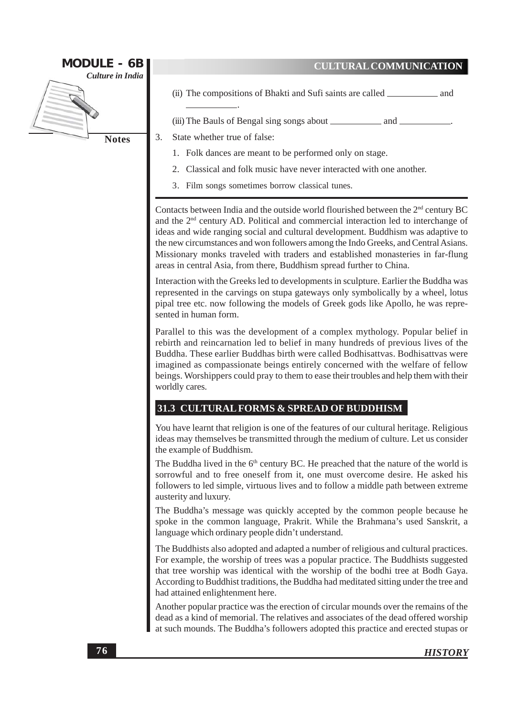

- (ii) The compositions of Bhakti and Sufi saints are called  $\equiv$ – and
- 

State whether true of false:

- 1. Folk dances are meant to be performed only on stage.
- 2. Classical and folk music have never interacted with one another.
- 3. Film songs sometimes borrow classical tunes.

Contacts between India and the outside world flourished between the 2<sup>nd</sup> century BC and the 2<sup>nd</sup> century AD. Political and commercial interaction led to interchange of ideas and wide ranging social and cultural development. Buddhism was adaptive to the new circumstances and won followers among the Indo Greeks, and Central Asians. Missionary monks traveled with traders and established monasteries in far-flung areas in central Asia, from there, Buddhism spread further to China.

Interaction with the Greeks led to developments in sculpture. Earlier the Buddha was represented in the carvings on stupa gateways only symbolically by a wheel, lotus pipal tree etc. now following the models of Greek gods like Apollo, he was represented in human form.

Parallel to this was the development of a complex mythology. Popular belief in rebirth and reincarnation led to belief in many hundreds of previous lives of the Buddha. These earlier Buddhas birth were called Bodhisattvas. Bodhisattvas were imagined as compassionate beings entirely concerned with the welfare of fellow beings. Worshippers could pray to them to ease their troubles and help them with their worldly cares.

#### 31.3 CULTURAL FORMS & SPREAD OF BUDDHISM

You have learnt that religion is one of the features of our cultural heritage. Religious ideas may themselves be transmitted through the medium of culture. Let us consider the example of Buddhism.

The Buddha lived in the 6<sup>th</sup> century BC. He preached that the nature of the world is sorrowful and to free oneself from it, one must overcome desire. He asked his followers to led simple, virtuous lives and to follow a middle path between extreme austerity and luxury.

The Buddha's message was quickly accepted by the common people because he spoke in the common language, Prakrit. While the Brahmana's used Sanskrit, a language which ordinary people didn't understand.

The Buddhists also adopted and adapted a number of religious and cultural practices. For example, the worship of trees was a popular practice. The Buddhists suggested that tree worship was identical with the worship of the bodhi tree at Bodh Gaya. According to Buddhist traditions, the Buddha had meditated sitting under the tree and had attained enlightenment here.

Another popular practice was the erection of circular mounds over the remains of the dead as a kind of memorial. The relatives and associates of the dead offered worship at such mounds. The Buddha's followers adopted this practice and erected stupas or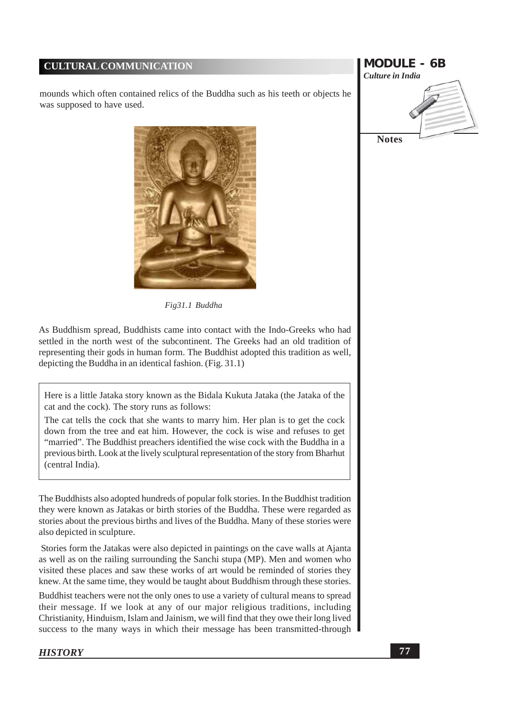mounds which often contained relics of the Buddha such as his teeth or objects he was supposed to have used.



Fig31.1 Buddha

As Buddhism spread, Buddhists came into contact with the Indo-Greeks who had settled in the north west of the subcontinent. The Greeks had an old tradition of representing their gods in human form. The Buddhist adopted this tradition as well, depicting the Buddha in an identical fashion. (Fig. 31.1)

Here is a little Jataka story known as the Bidala Kukuta Jataka (the Jataka of the cat and the cock). The story runs as follows:

The cat tells the cock that she wants to marry him. Her plan is to get the cock down from the tree and eat him. However, the cock is wise and refuses to get "married". The Buddhist preachers identified the wise cock with the Buddha in a previous birth. Look at the lively sculptural representation of the story from Bharhut (central India).

The Buddhists also adopted hundreds of popular folk stories. In the Buddhist tradition they were known as Jatakas or birth stories of the Buddha. These were regarded as stories about the previous births and lives of the Buddha. Many of these stories were also depicted in sculpture.

Stories form the Jatakas were also depicted in paintings on the cave walls at Ajanta as well as on the railing surrounding the Sanchi stupa (MP). Men and women who visited these places and saw these works of art would be reminded of stories they knew. At the same time, they would be taught about Buddhism through these stories.

Buddhist teachers were not the only ones to use a variety of cultural means to spread their message. If we look at any of our major religious traditions, including Christianity, Hinduism, Islam and Jainism, we will find that they owe their long lived success to the many ways in which their message has been transmitted-through

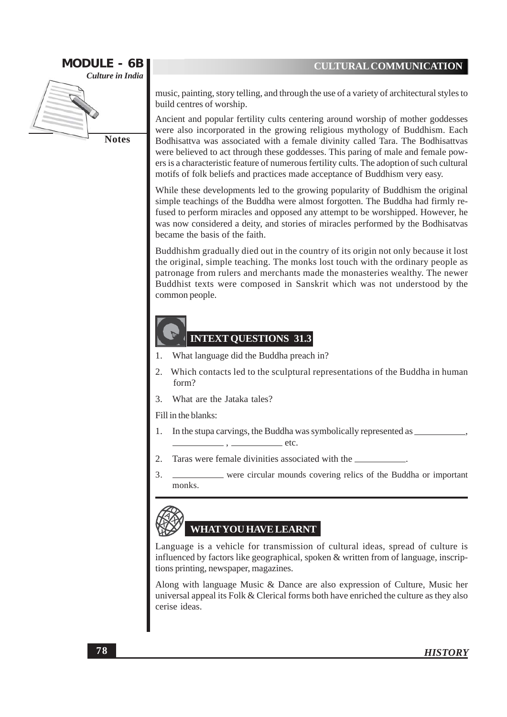

**Notes** 

music, painting, story telling, and through the use of a variety of architectural styles to build centres of worship.

Ancient and popular fertility cults centering around worship of mother goddesses were also incorporated in the growing religious mythology of Buddhism. Each Bodhisattva was associated with a female divinity called Tara. The Bodhisattvas were believed to act through these goddesses. This paring of male and female powers is a characteristic feature of numerous fertility cults. The adoption of such cultural motifs of folk beliefs and practices made acceptance of Buddhism very easy.

While these developments led to the growing popularity of Buddhism the original simple teachings of the Buddha were almost forgotten. The Buddha had firmly refused to perform miracles and opposed any attempt to be worshipped. However, he was now considered a deity, and stories of miracles performed by the Bodhisatvas became the basis of the faith.

Buddhishm gradually died out in the country of its origin not only because it lost the original, simple teaching. The monks lost touch with the ordinary people as patronage from rulers and merchants made the monasteries wealthy. The newer Buddhist texts were composed in Sanskrit which was not understood by the common people.

## **INTEXT QUESTIONS 31.3**

- What language did the Buddha preach in? 1.
- Which contacts led to the sculptural representations of the Buddha in human 2. form?
- What are the Jataka tales?  $\mathcal{R}$

Fill in the blanks:

- In the stupa carvings, the Buddha was symbolically represented as  $\equiv$ 1.  $etc.$
- 2. Taras were female divinities associated with the
- 3. were circular mounds covering relics of the Buddha or important monks.



# **WHAT YOU HAVE LEARNT**

Language is a vehicle for transmission of cultural ideas, spread of culture is influenced by factors like geographical, spoken & written from of language, inscriptions printing, newspaper, magazines.

Along with language Music & Dance are also expression of Culture, Music her universal appeal its Folk  $&$  Clerical forms both have enriched the culture as they also cerise ideas.